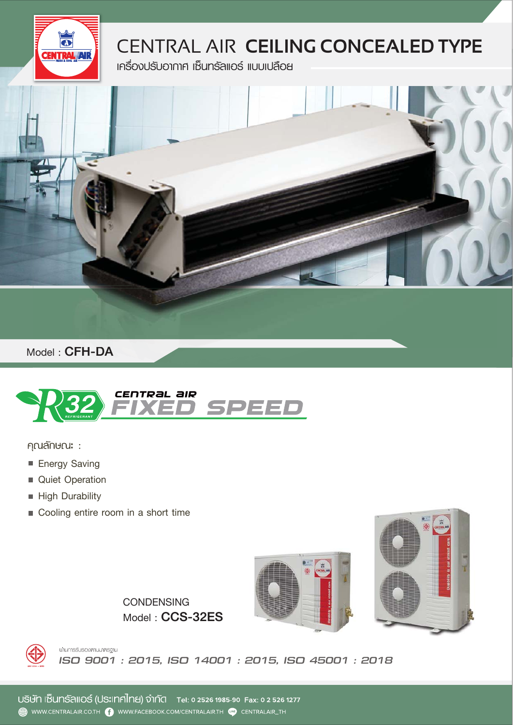

## CENTRAL AIR **CEILING CONCEALED TYPE**

**เครื่องปรับอากาศ เซ็นทรัลแอร์ แบบเปลือย** 



**Model :** CFH-DA



คุณลักษณะ :

- **Energy Saving**
- **Quiet Operation**
- **High Durability**
- **Cooling entire room in a short time**





**Model :** CCS-32ES **CONDENSING**



นานการรับรองศามมาศรฐาน *ISO 9001 : 2015, ISO 14001 : 2015, ISO 45001 : 2018*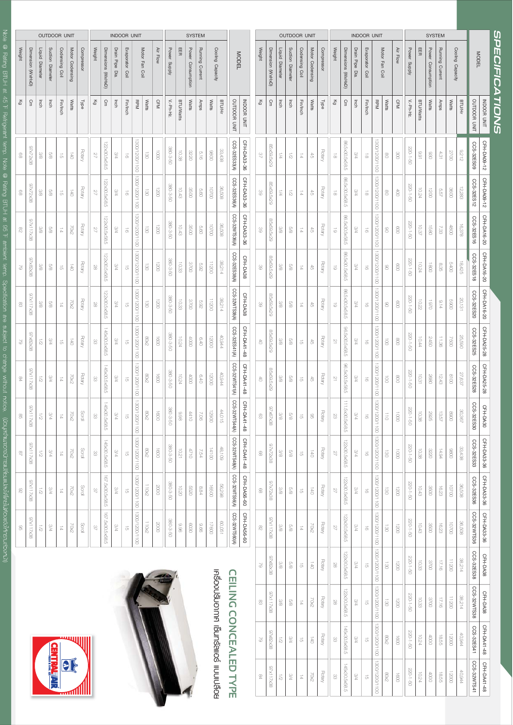| ļ<br>i<br>c                                                       |
|-------------------------------------------------------------------|
| ļ                                                                 |
| $\frac{1}{2}$                                                     |
| ו<br> <br> <br>                                                   |
|                                                                   |
| ı                                                                 |
|                                                                   |
|                                                                   |
| ĵ                                                                 |
|                                                                   |
| İ                                                                 |
|                                                                   |
|                                                                   |
| İ                                                                 |
| Ē<br>֖֖֖ׅׅׅ֖֧ׅ֧ׅ֖֪֪ׅ֖֧֚֚֚֚֚֚֚֚֚֚֚֚֚֚֚֚֚֚֚֚֚֚֚֚֚֚֚֚֚֚֚֚֚֡֝֡֓֞֝֬֞֝֬ |
| Í<br>l                                                            |
|                                                                   |
| j                                                                 |
| י                                                                 |
| ı<br>D<br>D<br>D<br>D                                             |
| I                                                                 |
|                                                                   |
| í,                                                                |
| i                                                                 |
|                                                                   |
|                                                                   |
| <b>BTUF</b>                                                       |
|                                                                   |
|                                                                   |
| qu <sub>1</sub>                                                   |
| j                                                                 |
| ì<br>Ě                                                            |
|                                                                   |
| Ë                                                                 |
| י                                                                 |
| Ë                                                                 |
| ũ                                                                 |
| į                                                                 |
|                                                                   |
| I<br>l                                                            |
| l                                                                 |
| I<br>$\overline{\phantom{a}}$<br>I<br>į                           |
| l                                                                 |
| mean                                                              |
|                                                                   |
|                                                                   |
| eic<br>C                                                          |
| j                                                                 |
| ì                                                                 |
| $\overline{a}$                                                    |
| $\frac{c}{\sqrt{2}}$                                              |
|                                                                   |
| į                                                                 |
|                                                                   |
| l                                                                 |
|                                                                   |
| i                                                                 |
|                                                                   |
| Ď<br>≤                                                            |
|                                                                   |
| ì                                                                 |
| ׇׇ֚֠֕                                                             |
|                                                                   |
| ਪੂ<br>ਕ                                                           |
|                                                                   |
| į                                                                 |
|                                                                   |
| Ş<br>j                                                            |
|                                                                   |
| Ξ                                                                 |
|                                                                   |
|                                                                   |
|                                                                   |
|                                                                   |
|                                                                   |
|                                                                   |
| ĺ                                                                 |
|                                                                   |
|                                                                   |
|                                                                   |
|                                                                   |
|                                                                   |
|                                                                   |
| I                                                                 |
| j                                                                 |
|                                                                   |
|                                                                   |
|                                                                   |
|                                                                   |
|                                                                   |





## CEILING CONCEALED TYPE **เคร ื CEILING ่องปรับอากาศ CONCEALED TYPEเซ็นทรัลแอรแบบเปลือย**

|               |                   |                            | <b>OUTDOOR UNIT</b> |                      |                      |               |                 |                    |                | <b>INDOOR UNIT</b>   |                               |                |                |              |                  | <b>SYSTEM</b>                |                 |                  |        |                       |                    |
|---------------|-------------------|----------------------------|---------------------|----------------------|----------------------|---------------|-----------------|--------------------|----------------|----------------------|-------------------------------|----------------|----------------|--------------|------------------|------------------------------|-----------------|------------------|--------|-----------------------|--------------------|
| Weight        | Dimension (WXHXD) | Liquid Diameter            | Suction Diameter    | Codensing Coil       | Motor Codensing      | Compressor    | <b>Weight</b>   | Dimensions (WXHXD) | Drain Pipe Dia | Evaporator Coil      |                               | Motor Fan Coil | Air Flow       | Power Supply | 岊                | Power Consumption            | Running Current | Cooling Capacity |        | <b>MODEL</b>          |                    |
| Κg            | Сm                | lnch                       | lnch                | Fin/Inch             | Watts                | <b>Type</b>   | ξ9              | Сm                 | lnch           | Fin/Inch             | RPM                           | Watts          | <b>CFM</b>     | V.-Ph-Hz.    | <b>BTU/Watts</b> | Watts                        | Anps            | Watts            | BTU/Hr | <b>DUTDOOR UNIT</b>   | INU ROOR           |
| 89            | 8EXZZX26          | 9/8                        | $\frac{9}{60}$      | 긁                    | $\overline{5}$       | <b>Rotary</b> | 42              | 22<30.5x58.5       | 9/4            | $\vec{a}$            | 300/1200/1100                 | <b>GO</b>      | 0001           | 09-8-088     | 10.38            | 3220                         | $\frac{91}{10}$ | 0086             | 33,438 | CCS-32ES33(A)         | CFH-DA33-36        |
| 89            | 8EXZZX26          | 9/8                        | $\frac{9}{8}$       | 긁                    | ā                    | <b>Rotary</b> | 22              | 122×30.5×58.5      | 9/4            | $\vec{a}$            | 0011/0021/0081                | si             | 0021           | 380-3-50     | 10.43            | CO <sub>3</sub> <sub>2</sub> | 09'9            | <b>CONCOL</b>    | 809'36 | CCS-32ES36(A)         | CFH-DA33-36        |
| 82            | 86X7117X5         | 3/8                        | 9G                  | $\overrightarrow{p}$ | <b>2002</b>          | <b>Rotary</b> | 22              | 122x30.5x58.5      | 9/A            | $\vec{0}$            | 0011/0021/0081                | ē              | 1200           | 380-3-5C     | 10.43            | 3500                         | $\frac{1}{2}$   | 00201            | 36,508 | CCS-32WTS36(A)        | CFH-DA33-36        |
| ð             | 8EX28X26          | 9/8                        | $\frac{9}{8}$       | $\overrightarrow{G}$ | $\overrightarrow{5}$ | <b>Rotary</b> | 88              | 122x30.5x58.5      | 9/4            | $\overrightarrow{c}$ | 0011/0021/0081                | $\vec{8}$      | 1200           | 380-3-50     | 10.33            | S700                         | 5.92            | 11200            | 38,214 | CCS-32ES38(A)         | CFH-DA38           |
| 8             | 82x11738          | 8/8                        | 8/9                 | $\overrightarrow{p}$ | <b>2002</b>          | <b>Rotary</b> | 29              | 122x30.5x58.5      | <b>AA</b>      | $\vec{a}$            | 1300/1200/1100                | ē              | $rac{1}{2}$    | 380-3-50     | 10.33            | 3700                         | 263             | 11200            | 38,214 | CCS-32WTS38(A)        | CFH-DA38           |
| $\approx$     | 8EX28X26          | $\overline{\ddot{\omega}}$ | <b>AA</b>           | 긁                    | $\vec{a}$            | <b>Rotary</b> | 8               | 145x6.5x58.5       | ЫS.            | $\overrightarrow{c}$ | 0011/0021/0081                | 50%            | $\overline{0}$ | 380-3-50     | 10.24            | 8000                         | $0 + 9$         | 00021            | 40,944 | CCS-32ES41(A)         | CFH-DA41-48        |
| $\frac{8}{2}$ | 86X711X58         | $\overline{\sim}$          | 9/4                 | $\overrightarrow{p}$ | 2002                 | <b>Rotary</b> | 8               | 145×30.5×58.5      | 9/4            | $\vec{a}$            | 1300/1200/1100                | 80%2           | 0091           | 380-3-50     | 10.24            | $000+$                       | 0.40            | 00021            | 40,944 | (V)IPS1MZ8-S30        | CFH-DA41-48        |
| g             | 87x<br>38X2113    | 21                         | <b>AA</b>           | $\overrightarrow{p}$ | <b>ZXO7</b>          | Scroll        | 8               | 145×50.5x58.5      | <b>AA</b>      | $\overrightarrow{G}$ |                               | 80X2           | $\infty$       | 09-8-950     | 8.88             | 4410                         | $\frac{1}{2}$   | 00621            | 44,015 | CCS-32WTS44(A)        | CFH-DA41-48        |
| 9             | 85x711x58         | $\overline{z}$             | 9/4                 | $\overrightarrow{p}$ | <b>SX07</b>          | Soroll        | 83              | 145x30.5x58.5      | 3/4            | $\vec{\sigma}$       | 0011/0021/0081 0011/0021/0081 | $80\times$     | 0091           | 380-3-50     | 10.21            | 0127                         | 7.54            | 14100            | 48,109 | <b>CCS-32WTS48(A)</b> | CFH-DA41-48        |
| 82            | 97x117X38         | $\overline{z}$             | 9/4                 | $\overrightarrow{p}$ | <b>ZXO7</b>          | $\frac{1}{2}$ | $\frac{1}{2}$   | 167.5×30.5×58.5    | 9/4            | $\overrightarrow{c}$ | 3011/0021/0081 0011/0021/0081 | 110x2          | 0002           | 380-3-50     | 10.20            | <b>CE22</b>                  | 8.84            | 16500            | 56,298 | CCS-32WTS56(A)        | <b>CFH-DA56-60</b> |
| g             | 86x711x58         | $\overline{\omega}$        | ЫS                  | $\overrightarrow{p}$ | <b>ZXOZ</b>          | Saroll        | $\overline{48}$ | 167.5×30.5×58.5    | Ыß             | $\overrightarrow{c}$ |                               | 110x2          | 5000           | 380-3-50     | 8.9              | 0809                         | 9.6             | 00921            | 190'09 | CCS-32WTS60(A)        | <b>CFH-DA56-60</b> |

|                              |              |                    |               |                  |                 | <b>SYSTEM</b>     |                  |              |                         |                      |                    |                               | <b>INDOOR UNIT</b> |                    |                |               |                      | <b>OUTDOOR UNIT</b>           |                  |                 |                          |                                     |
|------------------------------|--------------|--------------------|---------------|------------------|-----------------|-------------------|------------------|--------------|-------------------------|----------------------|--------------------|-------------------------------|--------------------|--------------------|----------------|---------------|----------------------|-------------------------------|------------------|-----------------|--------------------------|-------------------------------------|
| <i><b>SPECIFICATIONS</b></i> |              | <b>MODEL</b>       |               | Cooling Capacity | Running Current | Power Consumption | 田田               | Power Supply | Air Flow                | Motor Fan Coil       |                    | Evaporator Coil               | Drain Pipe Dia     | Dimensions (WXHXD) | Weight         | Compressor    | Motor Codensing      | Codensing Coil                | Suction Diameter | Liquid Diameter | Dimension (WXHXD)        | <b>Weight</b>                       |
|                              | IND OOR UNIT | OUTDOOR UNIT       | <b>BTU/Hr</b> | Watts            | Amps            | Watts             | <b>BTU/Watts</b> | V.-Ph-Hz.    | <b>CFM</b>              | Watts                | RPM                | Fin/Inch                      | Inch               | Сm                 | 중              | <b>Type</b>   | Watts                | Fin/Inch                      | Inch             | Inch            | Сm                       | 징                                   |
|                              | CFH-DA09-12  | CCS-32ES09         | 8,212         | 2700             | 4.31            | 880               | 16'6             | 09-1-022     | $\infty$                | 8                    | 300/1200/1100      | $\vec{\circ}$                 | 3/4                | B6.5x30.5x58.5     | ಹ              | <b>Rotary</b> | ਨੇ                   | $\overrightarrow{\mathbb{A}}$ | $\overline{z}$   | $\frac{1}{2}$   | 85×59.5×29               | $\sqrt{2}$                          |
|                              | CFH-DA09-12  | CCS-32ES12         | 12,283        | GOOS             | 5.57            | 0021              | 10.24            | 220-1-50     | $\overline{\odot}$      | 8                    | 1300/1200/1100     | $\vec{\circ}$                 | 9/4                | 86.5x30.5x58.5     | $\vec{\circ}$  | <b>Rotary</b> | ਨੇ                   | $\overrightarrow{p}$          | $\overline{z}$   | $\frac{1}{2}$   | 85x59.5x29               | 8                                   |
|                              | CFH-DA16-20  | CCS-32ES16         | 16,378        | 4800             | 7.33            | <b>G891</b>       | 10.37            | 220-1-50     | $\frac{8}{2}$           | 8                    | 0011/0021/0081     | $\vec{0}$                     | Ыß                 | 86.5x30.5x58.5     | 6              | <b>Rotary</b> | ਨੇ                   | $\overrightarrow{p}$          | 8/9              | 3/8             | 85x59.5x29               | 8                                   |
|                              | CFH-DA16-20  | CCS-32ES18         | 18,425        | 0002             | 8.35            | $\overline{8}$    | 10.24            | 220-1-50     | 8                       | 8                    | 0011/0021/0081     | $\vec{\sigma}$                | b/ε                | 86.5x30.5x58.5     | 5              | <b>Rotary</b> | के                   | $\overrightarrow{p}$          | 8/9              | $8/8$           | <b>SSX59.5x29</b>        | 8                                   |
|                              | CFH-DA16-20  | CCS-32ES20         | 20,131        | 0069             | 9.14            | 0261              | 10.22            | 220-1-50     | 8                       | 8                    | 1300/1200/1100     | $\vec{a}$                     | <b>A</b> 4         | 86.5x30.5x58.5     | 6              | Rotary        | 슰                    | $\frac{1}{b}$                 | 8/9              | 3/8             | 85x59.5x29               | 8                                   |
|                              | CFH-DA25-28  | CCS-32ES25         | <b>25,590</b> | 0092             | 98°11           | 2450              | 10.44            | 09-1-022     | $\frac{8}{2}$           | $\vec{8}$            | 0011/0021/0081     | $\vec{0}$                     | ЫB                 | 96.5x30.5x58.5     | $\overline{2}$ | <b>Rotary</b> | ਨੇ                   | $\vec{\sigma}$                | 8/9              | 3/8             | 85x59.5x29               | $\stackrel{\leftrightarrow}{\circ}$ |
|                              | CFH-DA25-28  | CCS-32ES28         | 27,637        | 0018             | 12.43           | 2680              | 10.31            | 220-1-50     | $\frac{8}{2}$           | $\vec{8}$            | 1300/1200/1100     | $\vec{0}$                     | 9/4                | 98.5x30.5x58.5     | $\overline{2}$ | <b>Rotary</b> | ਨੇ                   | 긁                             | 8/9              | $8/8$           | 62X9'69'28               | $\stackrel{\leftrightarrow}{\circ}$ |
|                              | CFH-DA30     | CCS-32ES30         | 30,367        | 0068             | 13.57           | 2925              | 10.38            | 220-1-50     | $\overline{\mathrm{0}}$ | $\frac{1}{2}$        | 70081<br>1200/1100 | $\vec{\circ}$                 | ЫS                 | 111.5x30.5x58.5    | 23             | <b>Rotary</b> | g                    | ᇬ                             | 8/9              | $\frac{1}{20}$  | $\frac{6}{10}$<br>Y67ASE | සි                                  |
|                              | CFH-DA33-36  | CCS-32ES33         | 33,438        | 0086             | 14.94           | 3220              | 10.38            | 220-1-50     | $\overline{\text{3}}$   | $\overrightarrow{6}$ | 1300/1200/1100     | $\vec{\sigma}$                | 9/4                | 122x30.5x58.5      | 27             | <b>Rotary</b> | $\vec{a}$            | ᇬ                             | 8/9              | $8/8$           | 85x272x38                | 8                                   |
|                              | CFH-DA33-36  | CCS-32ES36         | 36,508        | 00700            | 16.23           | 3500              | 10.43            | 220-1-50     | 0021                    | $\overline{6}$       |                    | $\vec{0}$                     | <b>P/C</b>         | 122x30.5x58.5      | 27             | <b>Rotary</b> | $\vec{a}$            | ᇬ                             | 8/9              | 8/8             | <b>SEXSZX26</b>          | 8                                   |
|                              | CFH-DA33-36  | <b>CCS-32WTS36</b> | 36,508        | 00700            | 16.23           | 3500              | 10.43            | 220-1-5C     | 00Z1                    | GE <sub>1</sub>      |                    | $\vec{0}$                     | Ыß                 | 122x30.5x58.5      | 27             | <b>Rotary</b> | <b>ZXO7</b>          | $\overrightarrow{\mathbb{A}}$ | 8/9              | 3/8             | 88X211X26                | 82                                  |
|                              | CFH-DA38     | CCS-32ES38         | 38,214        | 11200            | 17.16           | S700              | 10.33            | 220-1-5C     | 1200                    | $\vec{8}$            |                    | $\overrightarrow{C}$          | 9/4                | 122×30.5×58.5      | 28             | <b>Rotary</b> | $\overrightarrow{c}$ | $\overrightarrow{G}$          | 8/9              | $8/8$           | 8EX28X26                 | $\approx$                           |
|                              | CFH-DA38     | CCS-32WTS38        | 38,214        | 11200            | 17.16           | 3700              | 10.33            | 220-1-50     | 0021                    | GE <sub>1</sub>      | 1300/1200/1100     | $\overrightarrow{c}$          | ЫS                 | 122x30.5x58.5      | 29             | <b>Rotary</b> | <b>ZXO7</b>          | $\overrightarrow{p}$          | $8/8$            | 3/8             | <b>SEXTITX5</b>          | æ                                   |
|                              | CFH-DA41-48  | CCS-32ES41         | 40,944        | <b>COOCL</b>     | 18.55           | 0000              | 10.24            | 220-1-50     | 0091                    | 2008                 | 0011/0021/0081     | $\overrightarrow{c}$          | 9/4                | 145x3.5x58.5       | 8              | <b>Rotary</b> | $\overrightarrow{5}$ | ᇬ                             | <b>P/G</b>       | $\overline{z}$  | 8EX28X26                 | 97                                  |
|                              | CFH-DA41-48  | CCS-32WTS41        | 40,944        | 12000            | <b>18.55</b>    | $\bigcirc$        | 10.24            | 220-1-50     | 0091                    | 80x2                 | 1300/1200/1100     | $\overrightarrow{\mathrm{G}}$ | 9/4                | 145×30.5×58.5      | 8              | Rotary        | 70x2                 | $\overrightarrow{p}$          | 9/4              | $\overline{z}$  | 85x117x58                | $\frac{8}{2}$                       |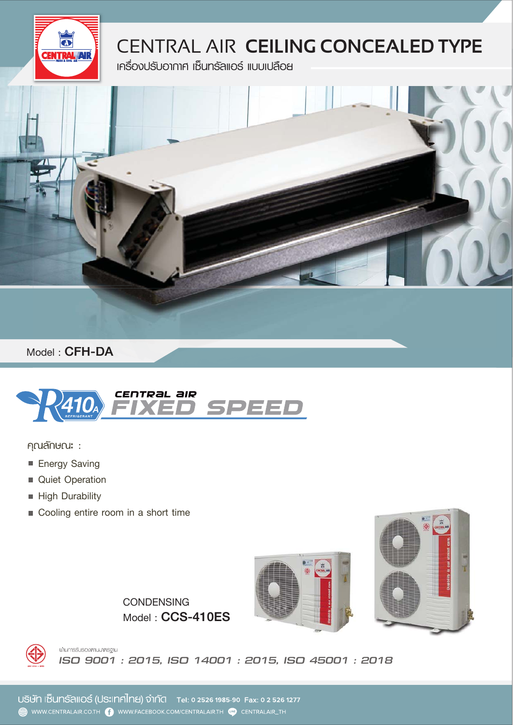

## CENTRAL AIR **CEILING CONCEALED TYPE**

**เครื่องปรับอากาศ เซ็นทรัลแอร์ แบบเปลือย** 



**Model :** CFH-DA



คุณลักษณะ :

- **Energy Saving**
- **Quiet Operation**
- **High Durability**
- **Cooling entire room in a short time**





**Model :** CCS-410ES **CONDENSING**



นานการรับรองศามมาศรฐาน *ISO 9001 : 2015, ISO 14001 : 2015, ISO 45001 : 2018*